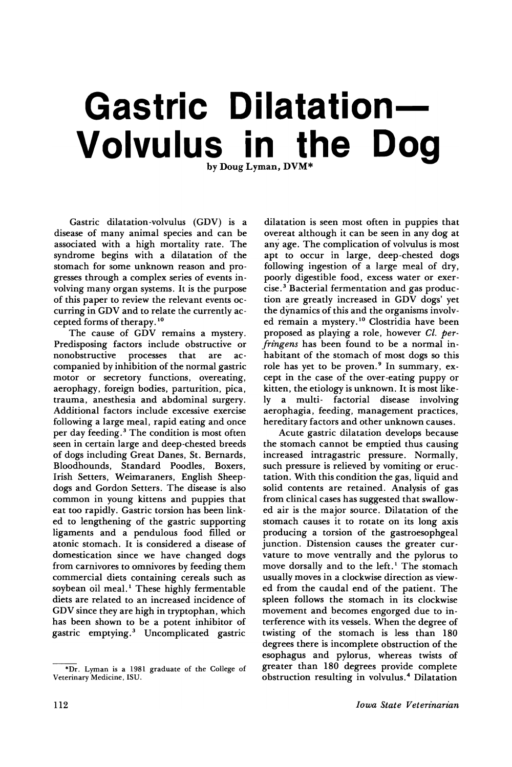# Gastric Dilatation- $\mathsf{Volume}$  **Volvulus** in the Dog

Gastric dilatation-volvulus (GDV) is a disease of many animal species and can be associated with a high mortality rate. The syndrome begins with a dilatation of the stomach for some unknown reason and progresses through a complex series of events involving many organ systems. It is the purpose of this paper to review the relevant events occurring in GDV and to relate the currently accepted forms of therapy. <sup>10</sup>

The cause of GDV remains a mystery. Predisposing factors include obstructive or nonobstructive processes that companied by inhibition of the normal gastric motor or secretory functions, overeating, aerophagy, foreign bodies, parturition, pica, trauma, anesthesia and abdominal surgery. Additional factors include excessive exercise following a large meal, rapid eating and once per day feeding.<sup>3</sup> The condition is most often seen in certain large and deep-chested breeds of dogs including Great Danes, St. Bernards, Bloodhounds, Standard Poodles, Boxers, Irish Setters, Weimaraners, English Sheepdogs and Gordon Setters. The disease is also common in young kittens and puppies that eat too rapidly. Gastric torsion has been linked to lengthening of the gastric supporting ligaments and a pendulous food filled or atonic stomach. It is considered a disease of domestication since we have changed dogs from carnivores to omnivores by feeding them commercial diets containing cereals such as soybean oil meal.<sup>1</sup> These highly fermentable diets are related to an increased incidence of GDV since they are high in tryptophan, which has been shown to be a potent inhibitor of gastric emptying. <sup>3</sup> Uncomplicated gastric

\*Dr. Lyman is a 1981 graduate of the College of Veterinary Medicine, ISU.

dilatation is seen most often in puppies that overeat although it can be seen in any dog at any age. The complication of volvulus is most apt to occur in large, deep-chested dogs following ingestion of a large meal of dry, poorly digestible food, excess water or exercise. <sup>3</sup> Bacterial fermentation and gas production are greatly increased in GDV dogs' yet the dynamics of this and the organisms involved remain a mystery.<sup>10</sup> Clostridia have been proposed as playing a role, however *Cl. perfringens* has been found to be a normal inhabitant of the stomach of most dogs so this role has yet to be proven.<sup>9</sup> In summary, except in the case of the over-eating puppy or kitten, the etiology is unknown. It is most like-<br>ly a multi- factorial disease involving factorial disease involving aerophagia, feeding, management practices, hereditary factors and other unknown causes.

Acute gastric dilatation develops because the stomach cannot be emptied thus causing increased intragastric pressure. Normally, such pressure is relieved by vomiting or eructation. With this condition the gas, liquid and solid contents are retained. Analysis of gas from clinical cases has suggested that swallowed air is the major source. Dilatation of the stomach causes it to rotate on its long axis producing a torsion of the gastroesophgeal junction. Distension causes the greater curvature to move ventrally and the pylorus to move dorsally and to the left.<sup>1</sup> The stomach usually moves in a clockwise direction as viewed from the caudal end of the patient. The spleen follows the stomach in its clockwise movement and becomes engorged due to interference with its vessels. When the degree of twisting of the stomach is less than 180 degrees there is incomplete obstruction of the esophagus and pylorus, whereas twists of greater than 180 degrees provide complete obstruction resulting in volvulus. <sup>4</sup> Dilatation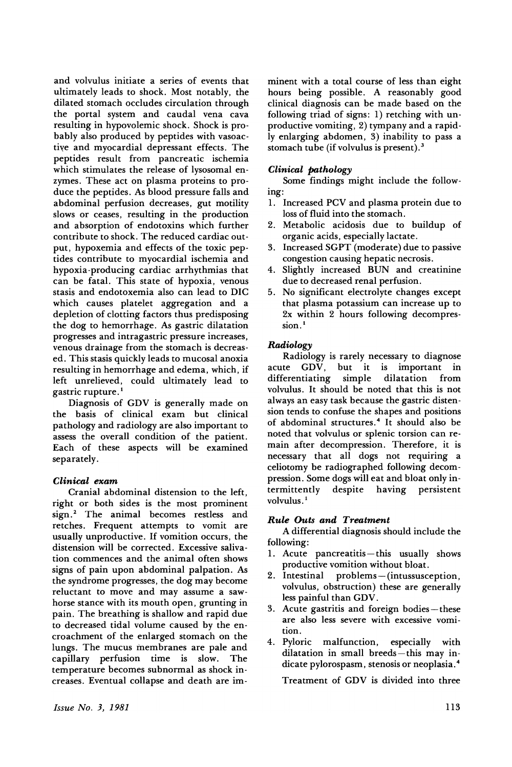and volvulus initiate a series of events that ultimately leads to shock. Most notably, the dilated stomach occludes circulation through the portal system and caudal vena cava resulting in hypovolemic shock. Shock is probably also produced by peptides with vasoactiye and myocardial depressant effects. The peptides result from pancreatic ischemia which stimulates the release of lysosomal enzymes. These act on plasma proteins to produce the peptides. As blood pressure falls and abdominal perfusion decreases, gut motility slows or ceases, resulting in the production and absorption of endotoxins which further contribute to shock. The reduced cardiac output, hypoxemia and effects of the toxic peptides contribute to myocardial ischemia and hypoxia-producing cardiac arrhythmias that can be fatal. This state of hypoxia, venous stasis and endotoxemia also can lead to DIC which causes platelet aggregation and a depletion of clotting factors thus predisposing the dog to hemorrhage. As gastric dilatation progresses and intragastric pressure increases, venous drainage from the stomach is decreased. This stasis quickly leads to mucosal anoxia resulting in hemorrhage and edema, which, if left unrelieved, could ultimately lead to gastric rupture. <sup>1</sup>

Diagnosis of GDV is generally made on the basis of clinical exam but clinical pathology and radiology are also important to assess the overall condition of the patient. Each of these aspects will be examined separately.

## *Clinical exam*

Cranial abdominal distension to the left, right or both sides is the most prominent sign.2 The animal becomes restless and retches. Frequent attempts to vomit are usually unproductive. If vomition occurs, the distension will be corrected. Excessive salivation commences and the animal often shows signs of pain upon abdominal palpation. As the syndrome progresses, the dog may become reluctant to move and may assume a sawhorse stance with its mouth open, grunting in pain. The breathing is shallow and rapid due to decreased tidal volume caused by the encroachment of the enlarged stomach on the lungs. The mucus membranes are pale and capillary perfusion time is slow. The temperature becomes subnormal as shock increases. Eventual collapse and death are imminent with a total course of less than eight hours being possible. A reasonably good clinical diagnosis can be made based on the following triad of signs: 1) retching with unproductive vomiting, 2) tympany and a rapidly enlarging abdomen, 3) inability to pass a stomach tube (if volvulus is present). $3$ 

## *Clinical pathology*

Some findings might include the following:

- 1. Increased PCV and plasma protein due to loss of fluid into the stomach.
- 2. Metabolic acidosis due to buildup of organic acids, especially lactate.
- 3. Increased SGPT (moderate) due to passive congestion causing hepatic necrosis.
- 4. Slightly increased BUN and creatinine due to decreased renal perfusion.
- 5. No significant electrolyte changes except that plasma potassium can increase up to 2x within 2 hours following decompression.<sup>1</sup>

### *Radiology*

Radiology is rarely necessary to diagnose acute GDV, but it is important in differentiating simple dilatation from volvulus. It should be noted that this is not always an easy task because the gastric distension tends to confuse the shapes and positions of abdominal structures. <sup>4</sup> It should also be noted that volvulus or splenic torsion can remain after decompression. Therefore, it is necessary that all dogs not requiring a celiotomy be radiographed following decompression. Some dogs will eat and bloat only indespite having persistent volvulus.<sup>1</sup>

### *Rule Outs and Treatment*

A differential diagnosis should include the following:

- 1. Acute pancreatitis-this usually shows productive vomition without bloat.
- 2. Intestinal problems-(intussusception, volvulus, obstruction) these are generally less painful than GDV.
- 3. Acute gastritis and foreign bodies-these are also less severe with excessive vomition.
- 4. Pyloric malfunction, especially with dilatation in small breeds-this may indicate pylorospasm, stenosis or neoplasia. <sup>4</sup>

Treatment of GDV is divided into three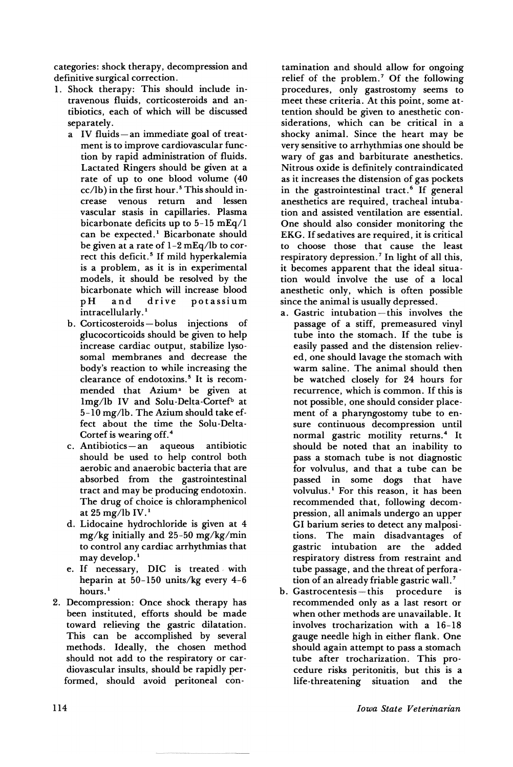categories: shock therapy, decompression and definitive surgical correction.

- 1. Shock therapy: This should include intravenous fluids, corticosteroids and antibiotics, each of which will be discussed separately.
	- a IV fluids-an immediate goal of treatment is to improve cardiovascular function by rapid administration of fluids. Lactated Ringers should be given at a rate of up to one blood volume (40  $cc/lb$ ) in the first hour.<sup>5</sup> This should increase venous return and lessen vascular stasis in capillaries. Plasma bicarbonate deficits up to 5-15 mEq/l can be expected.<sup>1</sup> Bicarbonate should be given at a rate of 1-2 mEq/lb to correct this deficit.<sup>5</sup> If mild hyperkalemia is a problem, as it is in experimental models, it should be resolved by the bicarbonate which will increase blood pH and drive potassium intracellularly.<sup>1</sup>
	- b. Corticosteroids-bolus injections of glucocorticoids should be given to help increase cardiac output, stabilize lysosomal membranes and decrease the body's reaction to while increasing the clearance of endotoxins.<sup>5</sup> It is recommended that Azium<sup>a</sup> be given at lmg/lb IV and Solu-Delta-Cortef<sup>b</sup> at 5-10 mg/lb. The Azium should take effect about the time the Solu-Delta-Cortef is wearing off. <sup>4</sup>
	- c. Antibiotics-an aqueous antibiotic should be used to help control both aerobic and anaerobic bacteria that are absorbed from the gastrointestinal tract and may be producing endotoxin. The drug of choice is chloramphenicol at  $25$  mg/lb IV.<sup>1</sup>
	- d. Lidocaine hydrochloride is given at 4 mg/kg initially and 25-50 mg/kg/min to control any cardiac arrhythmias that may develop.<sup>1</sup>
	- e. If necessary, DIC is treated with heparin at 50-150 units/kg every 4-6 hours.<sup>1</sup>
- 2. Decompression: Once shock therapy has been instituted, efforts should be made toward relieving the gastric dilatation. This can be accomplished by several methods. Ideally, the chosen method should not add to the respiratory or cardiovascular insults, should be rapidly performed, should avoid peritoneal con-

tamination and should allow for ongoing relief of the problem.<sup>7</sup> Of the following procedures, only gastrostomy seems to meet these criteria. At this point, some attention should be given to anesthetic considerations, which can be critical in a shocky animal. Since the heart may be very sensitive to arrhythmias one should be wary of gas and barbiturate anesthetics. Nitrous oxide is definitely contraindicated as it increases the distension of gas pockets in the gastrointestinal tract.<sup>6</sup> If general anesthetics are required, tracheal intubation and assisted ventilation are essential. One should also consider monitoring the EKG. If sedatives are required, it is critical to choose those that cause the least respiratory depression.<sup>7</sup> In light of all this, it becomes apparent that the ideal situation would involve the use of a local anesthetic only, which is often possible since the animal is usually depressed.

- a. Gastric intubation-this involves the passage of a stiff, premeasured vinyl tube into the stomach. If the tube is easily passed and the distension relieved, one should lavage the stomach with warm saline. The animal should then be watched closely for 24 hours for recurrence, which is common. If this is not possible, one should consider placement of a pharyngostomy tube to ensure continuous decompression until normal gastric motility returns.<sup>4</sup> It should be noted that an inability to pass a stomach tube is not diagnostic for volvulus, and that a tube can be passed in some dogs that have volvulus.<sup>1</sup> For this reason, it has been recommended that, following decompression, all animals undergo an upper GI barium series to detect any malpositions. The main disadvantages of gastric intubation are the added respiratory distress from restraint and tube passage, and the threat of perforation of an already friable gastric wall. <sup>7</sup>
- b. Gastrocentesis-this procedure is recommended only as a last resort or when other methods are unavailable. It involves trocharization with a 16-18 gauge needle high in either flank. One should again attempt to pass a stomach tube after trocharization. This procedure risks peritonitis, but this is a life-threatening situation and the